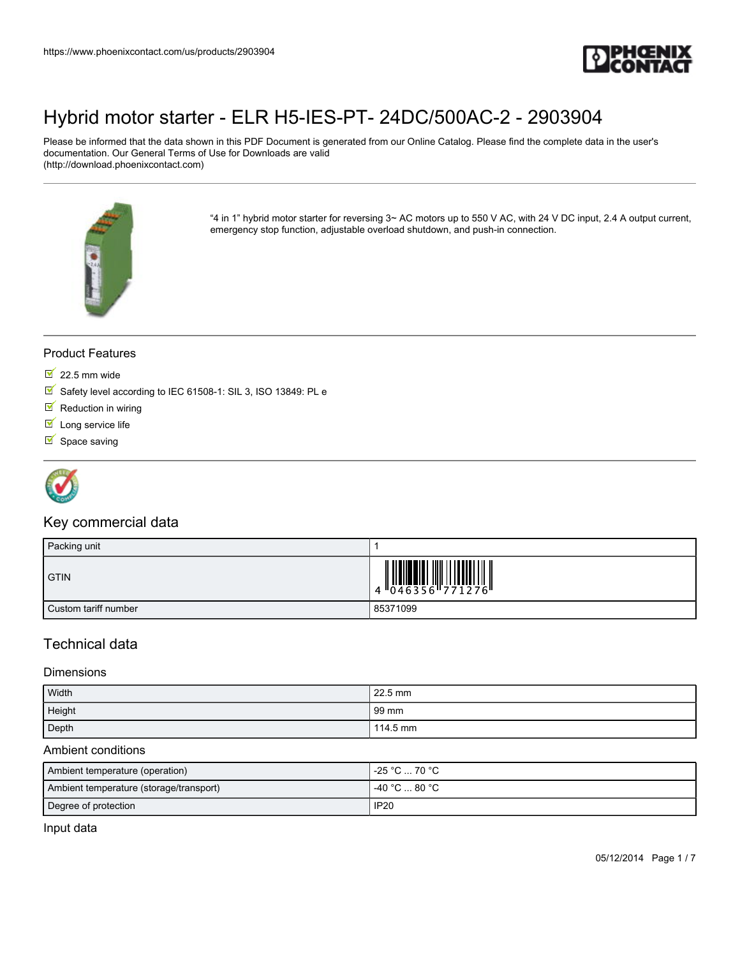

Please be informed that the data shown in this PDF Document is generated from our Online Catalog. Please find the complete data in the user's documentation. Our General Terms of Use for Downloads are valid (http://download.phoenixcontact.com)



"4 in 1" hybrid motor starter for reversing 3~ AC motors up to 550 V AC, with 24 V DC input, 2.4 A output current, emergency stop function, adjustable overload shutdown, and push-in connection.

### Product Features

- $\overline{\phantom{1}}$  22.5 mm wide
- Safety level according to IEC 61508-1: SIL 3, ISO 13849: PL e
- $\blacksquare$  Reduction in wiring
- $I$  Long service life
- $\blacksquare$  Space saving



### Key commercial data

| Packing unit         |                                                                           |
|----------------------|---------------------------------------------------------------------------|
| <b>GTIN</b>          | $\begin{array}{c} 1 & 0 & 0 & 0 \\ 0 & 0 & 4 & 6 & 3 & 5 & 6 \end{array}$ |
| Custom tariff number | 85371099                                                                  |

### Technical data

#### **Dimensions**

| Width  | 22.5 mm  |
|--------|----------|
| Height | 99 mm    |
| Depth  | 114.5 mm |

#### Ambient conditions

| Ambient temperature (operation)         | -25 °C … 70 °C                                |
|-----------------------------------------|-----------------------------------------------|
| Ambient temperature (storage/transport) | $-40\,^{\circ}\text{C}$ 80 $^{\circ}\text{C}$ |
| Degree of protection                    | <b>IP20</b>                                   |

Input data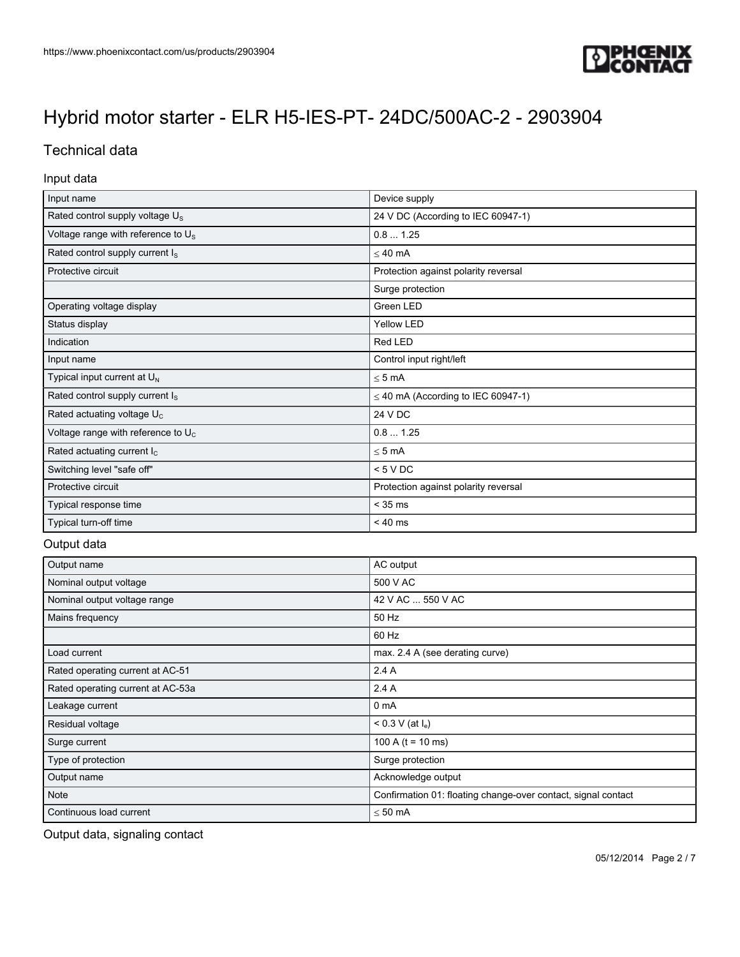

## Technical data

### Input data

| Input name                                     | Device supply                           |
|------------------------------------------------|-----------------------------------------|
| Rated control supply voltage U <sub>s</sub>    | 24 V DC (According to IEC 60947-1)      |
| Voltage range with reference to U <sub>s</sub> | 0.81.25                                 |
| Rated control supply current I <sub>s</sub>    | $\leq 40$ mA                            |
| Protective circuit                             | Protection against polarity reversal    |
|                                                | Surge protection                        |
| Operating voltage display                      | Green LED                               |
| Status display                                 | <b>Yellow LED</b>                       |
| Indication                                     | Red LED                                 |
| Input name                                     | Control input right/left                |
| Typical input current at U <sub>N</sub>        | $< 5 \text{ mA}$                        |
| Rated control supply current I <sub>s</sub>    | $\leq$ 40 mA (According to IEC 60947-1) |
| Rated actuating voltage U <sub>c</sub>         | 24 V DC                                 |
| Voltage range with reference to $U_c$          | 0.81.25                                 |
| Rated actuating current $I_c$                  | $\leq$ 5 mA                             |
| Switching level "safe off"                     | < 5 VDC                                 |
| Protective circuit                             | Protection against polarity reversal    |
| Typical response time                          | $<$ 35 ms                               |
| Typical turn-off time                          | $< 40$ ms                               |

### Output data

| Output name                       | AC output                                                     |
|-----------------------------------|---------------------------------------------------------------|
| Nominal output voltage            | 500 V AC                                                      |
| Nominal output voltage range      | 42 V AC  550 V AC                                             |
| Mains frequency                   | 50 Hz                                                         |
|                                   | 60 Hz                                                         |
| Load current                      | max. 2.4 A (see derating curve)                               |
| Rated operating current at AC-51  | 2.4A                                                          |
| Rated operating current at AC-53a | 2.4 A                                                         |
| Leakage current                   | 0 <sub>m</sub> A                                              |
| Residual voltage                  | < 0.3 V (at l <sub>e</sub> )                                  |
| Surge current                     | 100 A ( $t = 10$ ms)                                          |
| Type of protection                | Surge protection                                              |
| Output name                       | Acknowledge output                                            |
| Note                              | Confirmation 01: floating change-over contact, signal contact |
| Continuous load current           | $\leq 50$ mA                                                  |

Output data, signaling contact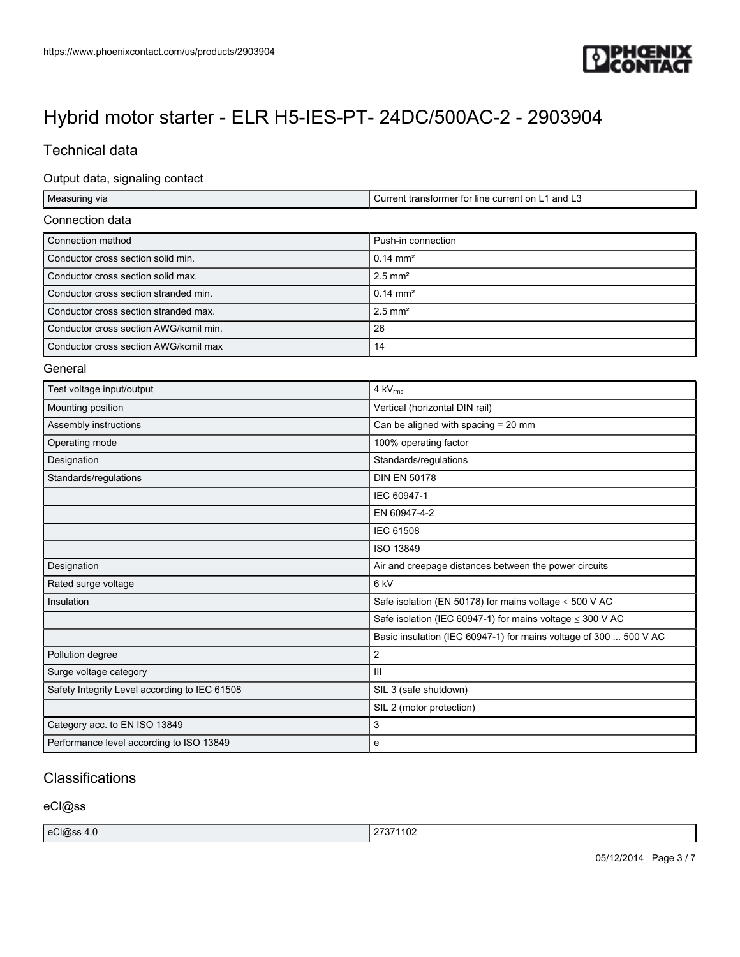

## Technical data

### Output data, signaling contact

| Measuring via                                 | Current transformer for line current on L1 and L3                 |
|-----------------------------------------------|-------------------------------------------------------------------|
| Connection data                               |                                                                   |
| Connection method                             | Push-in connection                                                |
| Conductor cross section solid min.            | $0.14 \, \text{mm}^2$                                             |
| Conductor cross section solid max.            | $2.5$ mm <sup>2</sup>                                             |
| Conductor cross section stranded min.         | $0.14 \, \text{mm}^2$                                             |
| Conductor cross section stranded max.         | $2.5$ mm <sup>2</sup>                                             |
| Conductor cross section AWG/kcmil min.        | 26                                                                |
| Conductor cross section AWG/kcmil max         | 14                                                                |
| General                                       |                                                                   |
| Test voltage input/output                     | 4 kV <sub>rms</sub>                                               |
| Mounting position                             | Vertical (horizontal DIN rail)                                    |
| Assembly instructions                         | Can be aligned with spacing = 20 mm                               |
| Operating mode                                | 100% operating factor                                             |
| Designation                                   | Standards/regulations                                             |
| Standards/regulations                         | <b>DIN EN 50178</b>                                               |
|                                               | IEC 60947-1                                                       |
|                                               | EN 60947-4-2                                                      |
|                                               | <b>IEC 61508</b>                                                  |
|                                               | ISO 13849                                                         |
| Designation                                   | Air and creepage distances between the power circuits             |
| Rated surge voltage                           | 6 kV                                                              |
| Insulation                                    | Safe isolation (EN 50178) for mains voltage $\leq$ 500 V AC       |
|                                               | Safe isolation (IEC 60947-1) for mains voltage $\leq$ 300 V AC    |
|                                               | Basic insulation (IEC 60947-1) for mains voltage of 300  500 V AC |
| Pollution degree                              | $\overline{2}$                                                    |
| Surge voltage category                        | Ш                                                                 |
| Safety Integrity Level according to IEC 61508 | SIL 3 (safe shutdown)                                             |
|                                               | SIL 2 (motor protection)                                          |
| Category acc. to EN ISO 13849                 | 3                                                                 |
| Performance level according to ISO 13849      | e                                                                 |

### **Classifications**

eCl@ss

| eCl@ss<br>$\sqrt{1}$<br>,,,<br>، رے ر<br>−.∪ | 27274400<br>11 UZ |
|----------------------------------------------|-------------------|
|----------------------------------------------|-------------------|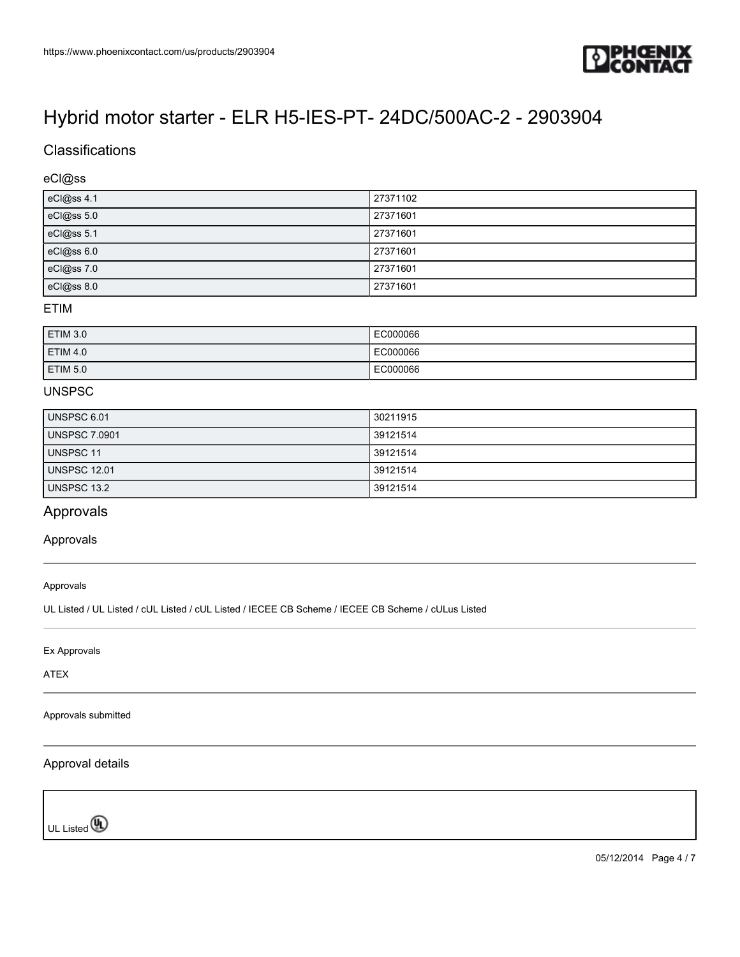

## **Classifications**

### eCl@ss

| eCl@ss 4.1 | 27371102 |
|------------|----------|
| eCl@ss 5.0 | 27371601 |
| eCl@ss 5.1 | 27371601 |
| eCl@ss 6.0 | 27371601 |
| eCl@ss 7.0 | 27371601 |
| eCl@ss 8.0 | 27371601 |

### ETIM

| <b>ETIM 3.0</b> | EC000066 |
|-----------------|----------|
| <b>ETIM 4.0</b> | EC000066 |
| <b>ETIM 5.0</b> | EC000066 |

### UNSPSC

| UNSPSC 6.01          | 30211915 |
|----------------------|----------|
| <b>UNSPSC 7.0901</b> | 39121514 |
| UNSPSC 11            | 39121514 |
| <b>UNSPSC 12.01</b>  | 39121514 |
| UNSPSC 13.2          | 39121514 |

### Approvals

### Approvals

Approvals

UL Listed / UL Listed / cUL Listed / cUL Listed / IECEE CB Scheme / IECEE CB Scheme / cULus Listed

Ex Approvals

ATEX

Approvals submitted

### Approval details

UL Listed<sup>(0</sup>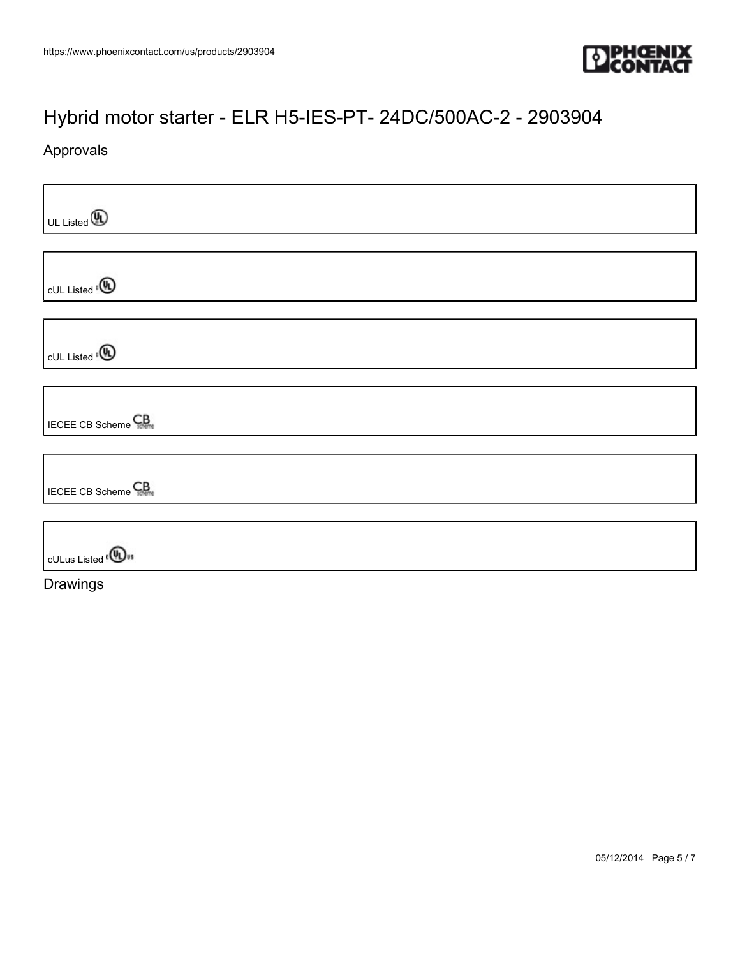

## Approvals

| $\bigcup_{\text{UL Listed}} \bigcirc \bigcirc$ |
|------------------------------------------------|
|                                                |
| CUL Listed <sup>®</sup>                        |
|                                                |
| cUL Listed <sup>e</sup> <sup>(1</sup>          |
|                                                |
| <b>IECEE CB Scheme</b>                         |
|                                                |
| <b>IECEE CB Scheme</b> CB                      |
|                                                |
| <b>CULus Listed<sup>e</sup></b>                |
| Drawings                                       |

05/12/2014 Page 5 / 7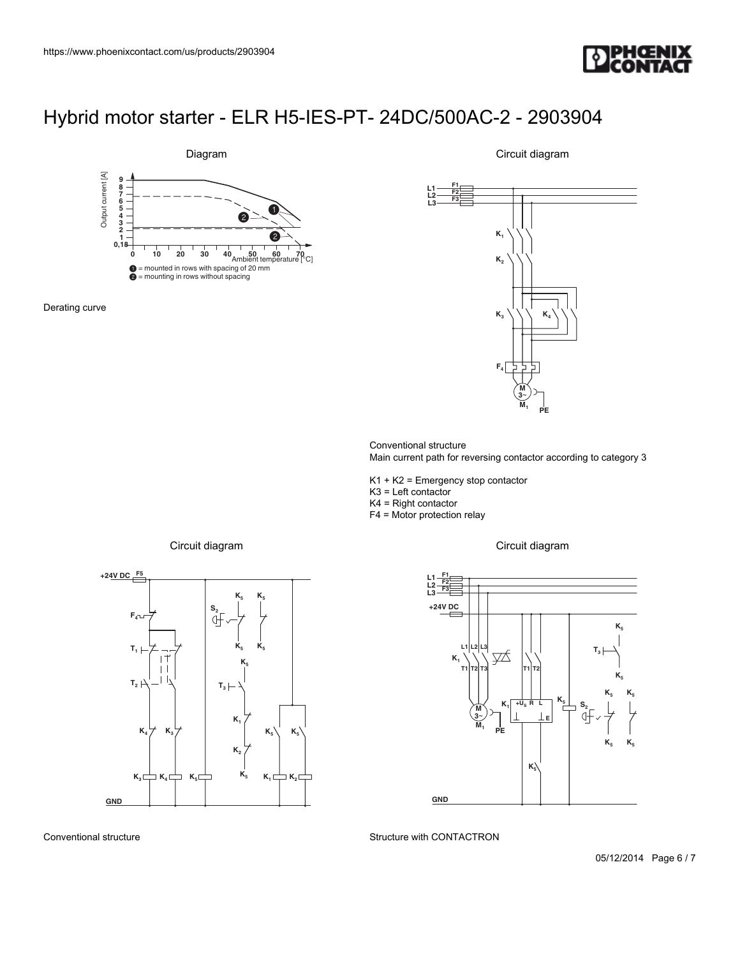



Derating curve

 $\begin{array}{|c|c|c|}\n\hline\n\text{Constant} & \text{Circular} & \text{Circular} & \text{Circular} & \text{Circular} \\
\hline\n\text{Bigram} & & & & & & & \\
\hline\n\text{Bigram} & & & & & & & \\
\hline\n\text{Bigram} & & & & & & & \\
\hline\n\text{Bigram} & & & & & & & \\
\hline\n\text{Bigram} & & & & & & & \\
\hline\n\text{Bigram} & & & & & & & \\
\hline\n\text{Bigram} & & & & & & & \\
\hline\n\text{Bigram} & & & & & & & \\
\hline\n\text{Bigram} & & & & & & & \\
\hline\n\text$ **M 3**~ **L3 M K K2 K3 F4 K4 PE F1 F2 F3 1** 2903904<br> **1** diagram<br> **1**  $\frac{1}{k}$ <br> **1**  $\frac{1}{k}$ <br> **1**  $\frac{1}{k}$ <br> **1**  $\frac{1}{k}$ <br> **1**  $\frac{1}{k}$ <br> **1**  $\frac{1}{k}$ <br> **1**  $\frac{1}{k}$ <br> **1**  $\frac{1}{k}$ <br> **1**  $\frac{1}{k}$ <br> **1**  $\frac{1}{k}$ <br> **1**  $\frac{k}{k}$ <br> **1**  $\frac{k}{k}$ <br> **1**  $\frac{k}{k}$ <br> **1** DAC-2 - 2903904<br>
Circuit diagram<br>
(K<sub>i</sub> University diagram<br>
(K<sub>i</sub> University diagram<br>
(K<sub>i</sub> University diagram<br>
(K<sub>i</sub> University diagram<br>
(Circuit diagram<br>
Circuit diagram<br>
Circuit diagram<br>
(N<sub>I</sub> U<sub>N</sub>)<br>
(N<sub>I</sub> U<sub>N</sub>)<br>
(K<sub>i</sub> AC-2 - 2903904<br>
Circuit diagram<br>  $\kappa$ ,<br>  $\kappa$ ,<br>  $\kappa$ ,<br>  $\kappa$ ,<br>  $\kappa$ ,<br>  $\kappa$ ,<br>  $\kappa$ ,<br>  $\kappa$ ,<br>  $\kappa$ ,<br>  $\kappa$ ,<br>  $\kappa$ ,<br>  $\kappa$ ,<br>  $\kappa$ ,<br>  $\kappa$ ,<br>  $\kappa$ ,<br>  $\kappa$ ,<br>  $\kappa$ ,<br>  $\kappa$ ,<br>  $\kappa$ ,<br>  $\kappa$ ,<br>  $\kappa$ ,<br>  $\kappa$ ,<br>  $\kappa$ ,<br>  $\kappa$ 

Circuit diagram

Conventional structure Main current path for reversing contactor according to category 3

K1 + K2 = Emergency stop contactor

K3 = Left contactor

K4 = Right contactor

F4 = Motor protection relay

**L1 L2**

![](_page_5_Figure_11.jpeg)

Circuit diagram

Circuit diagram

![](_page_5_Figure_13.jpeg)

Conventional structure

Structure with CONTACTRON